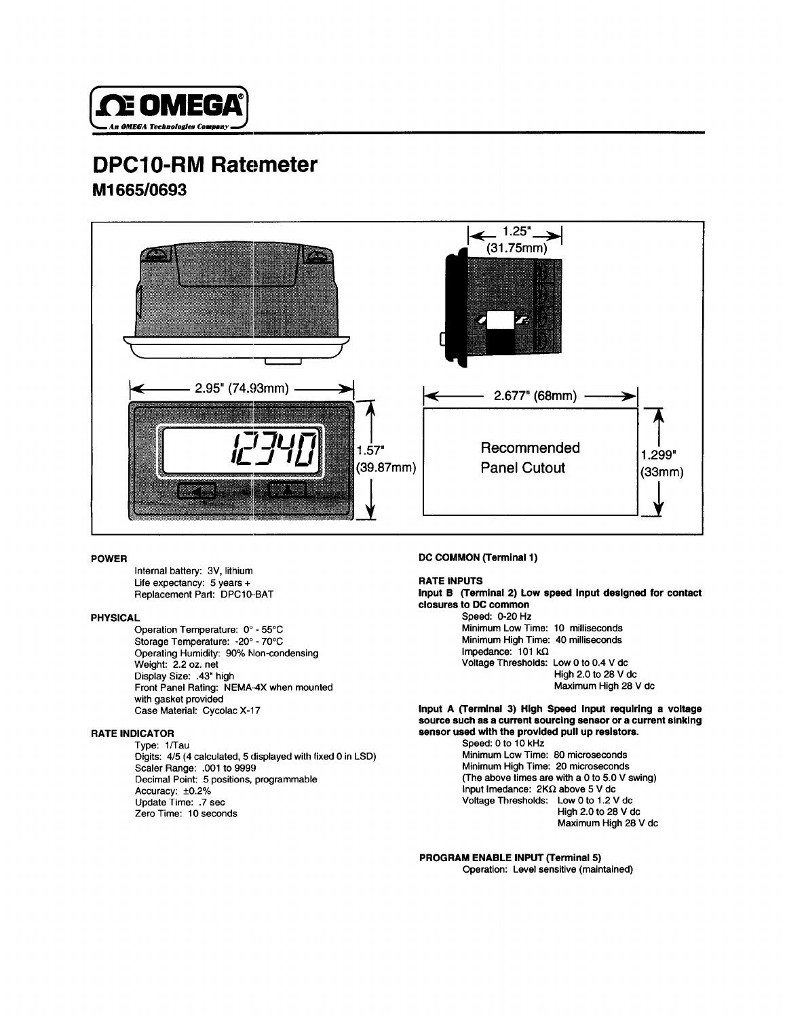

## **665/0693 Ml DPC10-RM Ratemeter**



**3V, lithium Internal battery: Life expectancy: 5 years + RATE INPUTS Replacement Part:** 

**NEMA,4X when mounted Front Panel Rating: with gasket provided** Case Material: Cycolac X-17 **.43" high Display Size: 70°C -20" - Storage Temperature: Operating Humidity: 90% hlon-condensing Weight: 2.2 oz. net 55'C 0" - Operation Temperature:** 

### **RATE INDICATOR**

**set .7 Update Time: Zero Time: 10 seconds +0.2% Accuracy: .OOl to 9999 Scaler Range: Decimal Point: 5 positions, programmable 4/5 (4 calculated, 5 displayed with fixed 0 in LSD) Digits: l/Tau Type:** 

### **POWER DC COMMON (Terminal 1)**

**Impedance: 101 kΩ Voltage Thresholds: Low 0 to 0.4 V dc High 2.0 to 28 V dc Maximum High 28 V dc Minimum Low Time: 10 milliseconds Minimum High Time: 40 milliseconds** Input B (Terminal 2) Low speed input designed for contact **closures to DC common PHYSICAL Speed: O-20 Hz**

> **Input A (Terminal 3) High Speed Input requiring a voltage source such as a current sourcing sensor or a current sinking sensor used with the provided pull up resistors.**

> > **input Imedance: 2KΩ above 5 V do Voltage Thresholds: Low 0 to 1.2 V dc High 2.0 to 28 V dc Maximum High 28 V dc kHr Speed: 0 to 10 Minimum Low Time: 80 microseconds Minimum High Time: 20 microseconds (The above times are with a 0 to 5.0 V swing)**

### **PROGRAM ENABLE INPUT (Terminal 5)**

**Operation: Level sensitive (maintained)**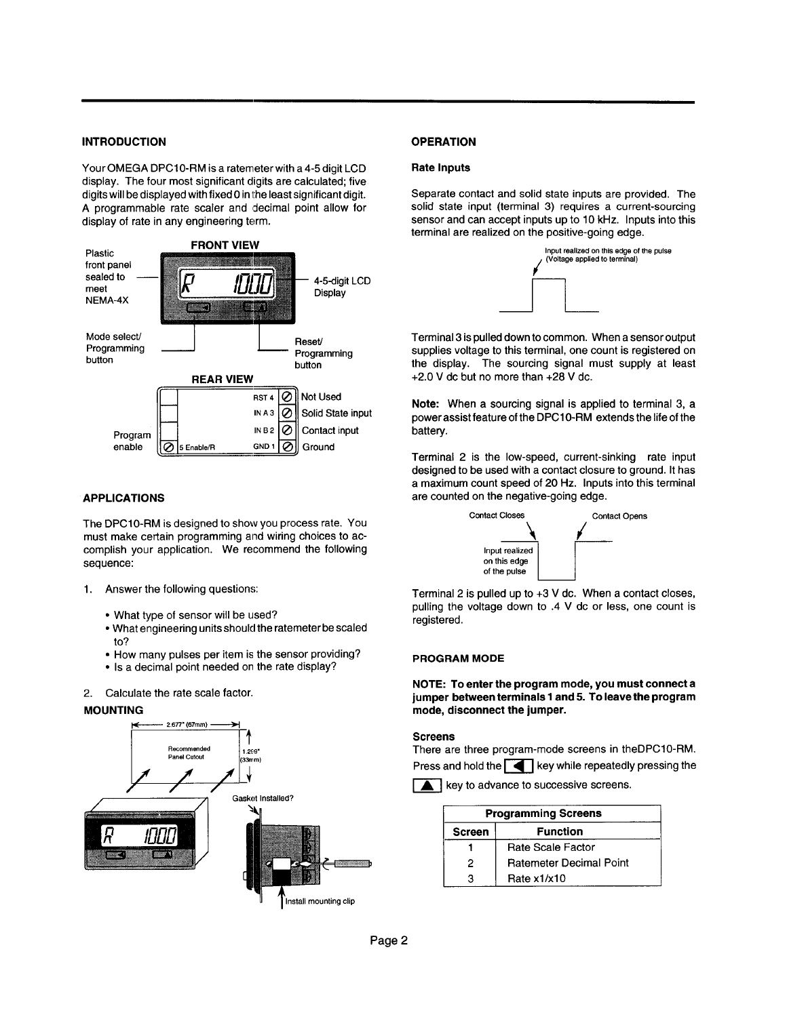### **INTRODUCTION OPERATION**

A programmable rate scaler and decimal point allow fo display of rate in any engineering term. digits will be displayed with fixed 0 in the least significant digit. Your OMEGA DPC10-RM is a ratemeter with a 4-5 digit LCD display. The four most significant digits are calculated; five



### **APPLICATIONS**

must make certain programming and wiring choices to ad complish your application. We recommend the following sequence: The DPC10-RM is designed to show you process rate. You

- 1. Answer the following questions:
	- What type of sensor will be used?
	- to?  $\bullet$  What engineering units should the ratemeter be scale
	- How many pulses per item is the sensor providing?
	- ?? Is a decimal point needed on the rate display?
- 2. Calculate the rate scale factor.

### MOUNTING



### **Rate Inputs**

sensor and can accept inputs up to 10 kHz. Inputs into this terminal are realized on the positive-going edge. Separate contact and solid state inputs are provided. The solid state input (terminal 3) requires a current-sourcing



+28 V dc. +2.0 V dc but no more than Terminal 3 is pulled down to common. When a sensor output supplies voltage to this terminal, one count is registered on the display. The sourcing signal must supply at least

power assist feature of the DPC10-RM extends the life of the battery. **Note:** When a sourcing signal is applied to terminal 3, a

Terminal 2 is the low-speed, current-sinking rate input designed to be used with a contact closure to ground. It has a maximum count speed of 20 Hz. Inputs into this terminal are counted on the negative-going edge.



pulling the voltage down to .4 V dc or less, one count i registered. Terminal 2 is pulled up to +3 V dc. When a contact close

### **PROGRAM MODE**

**NOTE: To enter the program mode, you must connect a jumper between terminals 1 and 5. To leave the program mode, disconnect the jumper.**

### **Screens**

There are three program-mode screens in theDPC10-RM

Press and hold the  $\left[\begin{array}{c} 0 \\ 0 \end{array}\right]$  key while repeatedly pressing the

 $\blacktriangle$  key to advance to successive screens.

| <b>Programming Screens</b>       |                                |  |
|----------------------------------|--------------------------------|--|
| <b>Function</b><br><b>Screen</b> |                                |  |
|                                  | Rate Scale Factor              |  |
| 2                                | <b>Ratemeter Decimal Point</b> |  |
| 3                                | Rate x1/x10                    |  |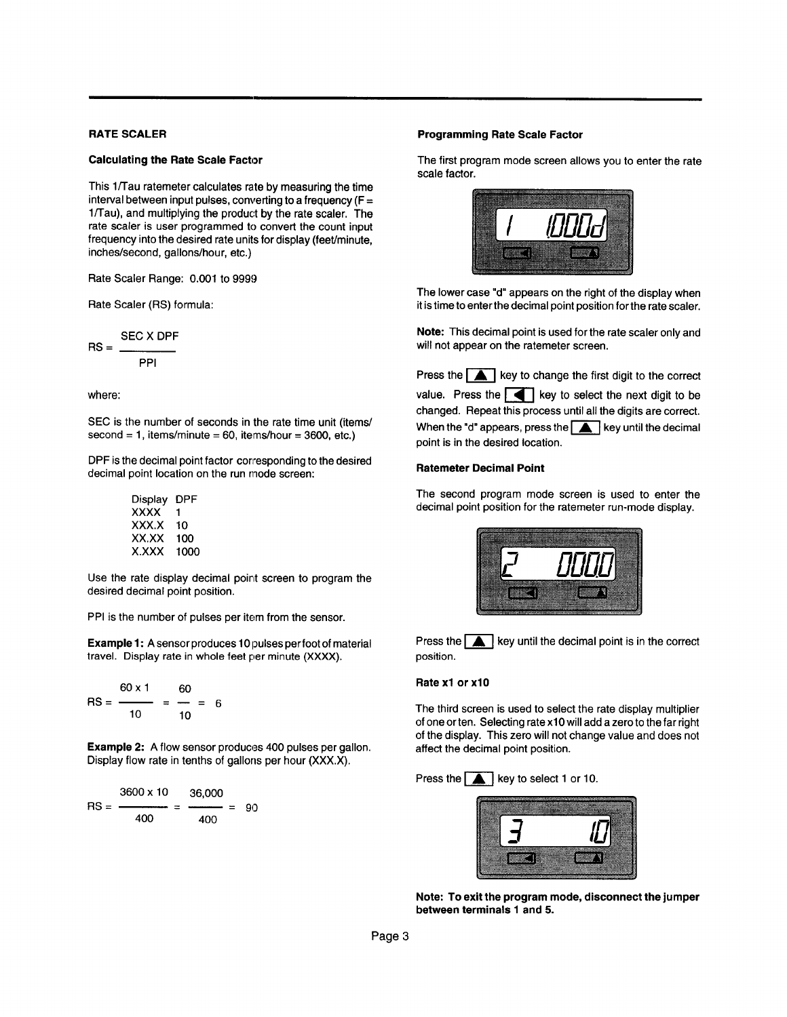### **RATE SCALER**

### **Calculating the Rate Scale Factor**

**l/Tau), and multiplying the product by the rate scaler. The rate scaler** is user programmed to convert the count input frequency into the desired rate units for display (feet/minute, inches/second, gallons/hour, etc.) **= interval between input pulses, converting to a frequency (F**  This 1/Tau ratemeter calculates rate by measuring the time

Rate Scaler Range: 0.001 to 9999

Rate Scaler (RS) formula:

$$
RS = \frac{SEC X DPF}{PPI}
$$

where:

second = 1, items/minute = 60, items/hour = 3600, etc SEC is the number of seconds in the rate time unit (items/

DPF is the decimal point factor corresponding to the desired decimal point location on the run mode screen:

| Display | DPF  |
|---------|------|
| xxxx    | 1    |
| XXX X   | 10   |
| XX.XX   | 100  |
| X XXX   | 1000 |

Use the rate display decimal point screen to program the desired decimal point position.

PPI is the number of pulses per item from the sensor.

E**xample 1:** A sensor produces 10 pulses per foot of material **travel. Display rate in whole feet per minute (XXXX).**

$$
\mathsf{RS} = \frac{60 \times 1}{10} = \frac{60}{10} = 6
$$

Display flow rate in tenths of gallons per hour (XXX.X). **Example 2:** A flow sensor produces 400 pulses per gallones

**Example 2:** A flow sensor produces  
Display flow rate in tenths of gallons  

$$
RS = \frac{3600 \times 10}{400} = \frac{36,000}{400} = 90
$$

### **Programming Rate Scale Factor**

The first program mode screen allows you to enter the rate scale factor.



it is time to enter the decimal point position for the rate scal The lower case "d" appears on the right of the display whe

**Note:** This decimal point is used for the rate scaler only and will not appear on the ratemeter screen.

 $\frac{1}{2}$  when the "d" appears, press the  $\Box$  key until the decimal point is in the desired location. Press the  $\Box$  key to change the first digit to the correduction  $\Box$  key to select the next digit to be changed. Repeat this process until all the digits are correct. Press the  $\Box$  key to change the first digit to the corre

### **Ratemeter Decimal Point**

The second program mode screen is used to enter the decimal point position for the ratemeter run-mode display.



Press the  $\Box$  key until the decimal point is in the corre position.

### **Rate x1 or x10**

of one or ten. Selecting rate x10 will add a zero to the far rigl of the display. This zero will not change value and does not affect the decimal point position. The third screen is used to select the rate display multiplier

# Press the  $\Box$  key to select 1 or 10.



**Note: To exit the program mode, disconnect the jumper between terminals 1 and 5.**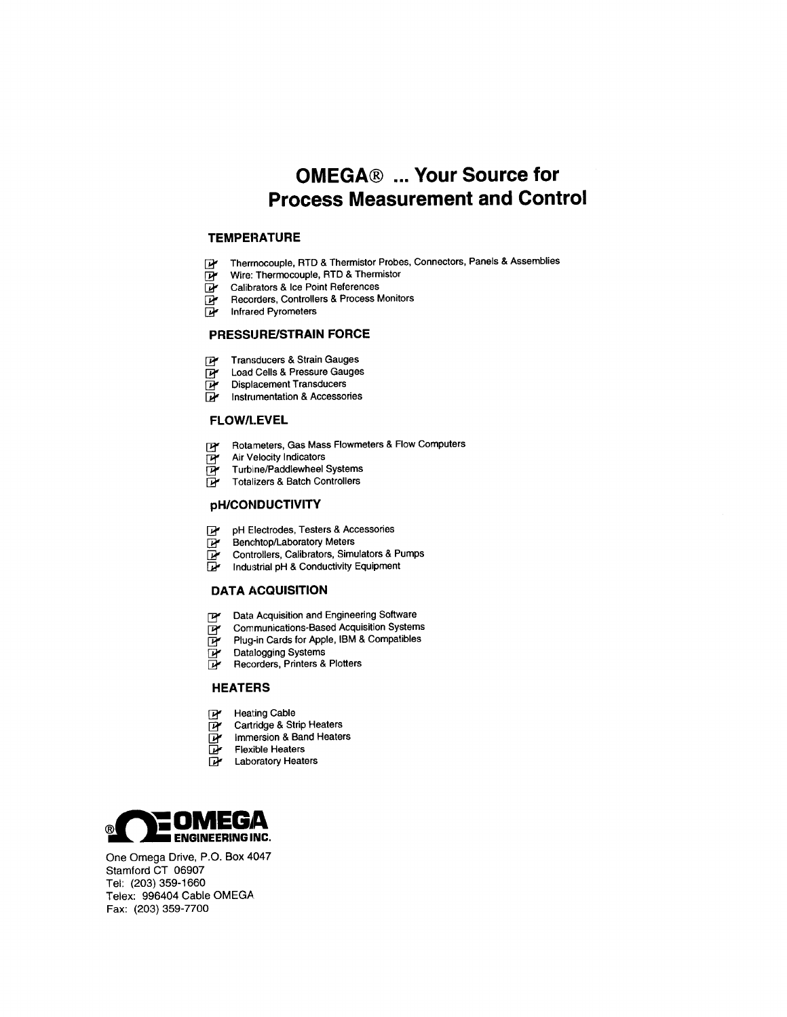## **OMEGA® ... Your Source for Process Measurement and Control**

### **TEMPERATURE**

- **wire: Thermocouple, RTD & Thermistor Probes, Connectors, Panels & Assemblies**<br> **Wire: Thermocouple, RTD & Thermistor**
- **Wire: Thermocouple, RTD & Thermistor**<br> *Calibrators & Ice Point References*
- **@** Calibrators & Ice Point References<br>**W** Recorders, Controllers & Process Monitors
- 
- **D'** Recorders, Controlle<br>D' Infrared Pyrometers

### **PRESSURE/STRAIN FORCE**

- **i⊁ Transducers & Strain Gauges**<br>**Dr** Load Cells & Pressure Gauges
- **D**' Load Cells & Pressure Gauges<br> **D'** Displacement Transducers
- **Displacement Transducers**<br>**De Linstrumentation & Accessories**
- 

### **FLOW/LEVEL**

- **E Rotameters, Gas Mass Flowmeters & Flow Computers**<br> **R Air Velocity Indicators**
- **W** Air Velocity Indicators<br>W Turbine/Paddlewheel Systems
- **W** Turbine/Paddlewheel Systems<br>**W** Totalizers & Batch Controllers
- 

## **pH/COPIDUCTIVITY**

- **@+ pH Electrodes, Testers & Accessories**
- **m** pH Electrodes, Testers & Acc<br>**T** Benchtop/Laboratory Meters
- **B Benchiop/Laboratory Meters**<br>**D Controllers, Calibrators, Simulators & Pumps**<br>**D** Industrial nH & Conductivity Fouloment
- **& Conductivity Equipment**

## **DATA ACQUISITION**

- **B Communication and Engineering Software**<br>B Communications-Based Acquisition System **@ Data Acquisition and Engineering Software**
- **B** Communications-Based Acquisition Systems<br>**Brug-in Cards for Apple, IBM & Compatibles**
- **Definity** Plug-in Cards for Apple, IBM & Compatibles<br>Definition of Systems
- 
- **B** Datalogging Systems<br>**Recorders** Printers & Plotters

## **HEATERS**

- **Heating Cable**
- **B** Heating Cable<br>**B** Cartridge & Strip Heaters
- **D** Cartridge & Strip Heaters<br>D**P** Immersion & Band Heaters
- **im Flexible Heaters**<br>**The Flexible Heaters**
- **D** Flexible Heaters<br>**D** Laboratory Heaters



One Omega Drive, P.O. Box 4047 Stamford CT 06907 Tel: (203) 359-1660 Telex: 996404 Cable OMEGA. Fax: (203) 359-7700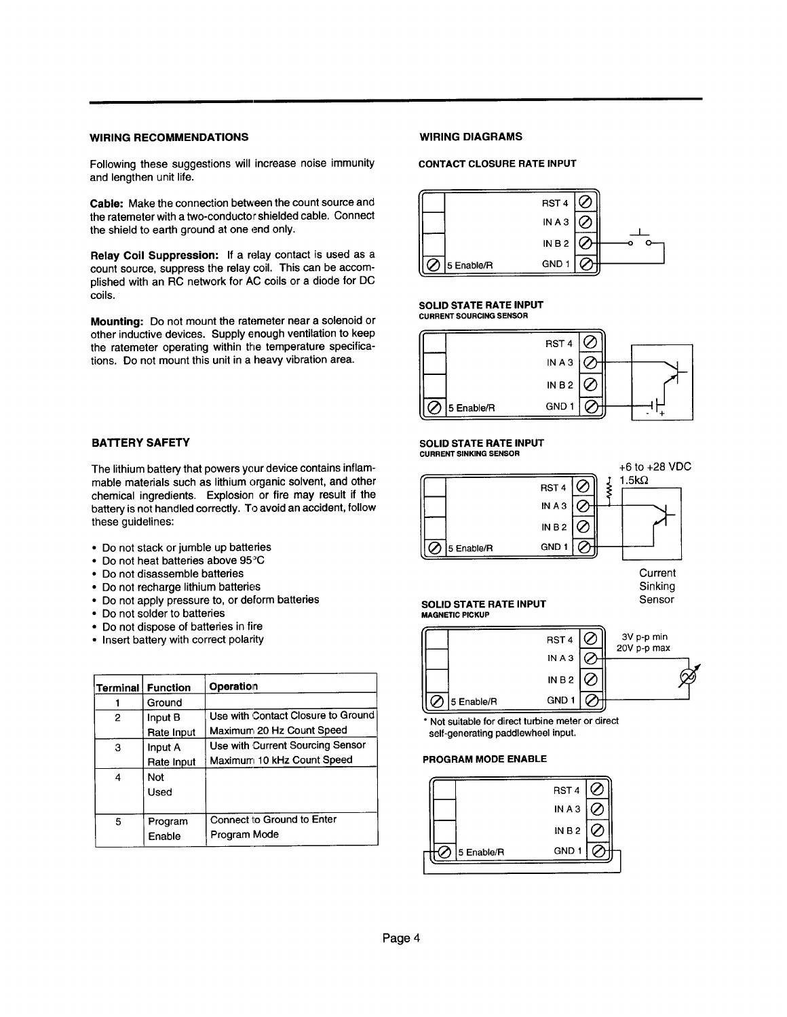## **WIRING RECOMMENDATIONS WIRING DIAGRAMS**

Following these suggestions will increase **noise immunity and lengthen unit life.**

the ratemeter with a the concept children in **Cable:** Make the connection between the count source and the ratemeter with a two-conductor shielded cable. Connect

**Relay Coil Suppression:** If a relay contact is used as a count source, suppress the relay coil. This can be accomplished with an RC network for AC coils or a diode for DC coils.

**Mounting:** Do not mount the ratemeter near a solenoid or other inductive devices. Supply enough ventilation to keep the ratemeter operating within the temperature specifications. Do not mount this unit in a heavy vibration area.

### **BATTERY SAFETY**

The lithium battery that powers your device contains inflammable materials such as lithium organic solvent, and other chemical ingredients. Explosion or fire may result if the battery is not handled correctly. To avoid an accident, follow these guidelines:

- ?? Do not stack or jumble up batteries
- Do not black of jumple up buttone
- ?? Do not disassemble batteries
- Do not recharge lithium batteries
- ?? Do not apply pressure to, or deform batteries
- Do not solder to batteries
- Do not dispose of batteries in fire
- Insert battery with correct polarity

|   | Terminal   Function | Operation                          |
|---|---------------------|------------------------------------|
|   | Ground              |                                    |
| 2 | Input B             | Use with Contact Closure to Ground |
|   | Rate Input          | Maximum 20 Hz Count Speed          |
| 3 | Input A             | Use with Current Sourcing Sensor   |
|   | Rate Input          | Maximum 10 kHz Count Speed         |
| 4 | Not                 |                                    |
|   | Used                |                                    |
|   |                     |                                    |
| 5 | Program             | Connect to Ground to Enter         |
|   | Enable              | Program Mode                       |

### **CONTACT CLOSURE RATE INPUT**



### **SOLID STATE RATE INPUT CURRENT SOURCING SENSOR**



### **SOLID STATE RATE INPUT CURRENT SINKING SENSOR**



**Current** Sinking

### SOLID STATE RATE INPUT SENSOR **MAGNETIC PICKUP**



**\* Not suitable for direct turbine meter or direct self-generating paddlewheel input.**

### **PROGRAM MODE ENABLE**